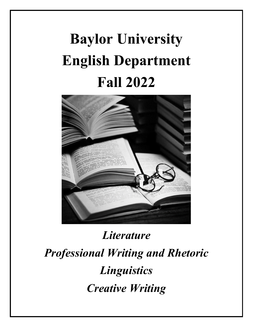# **Baylor University English Department Fall 2022**



## *Literature Professional Writing and Rhetoric Linguistics Creative Writing*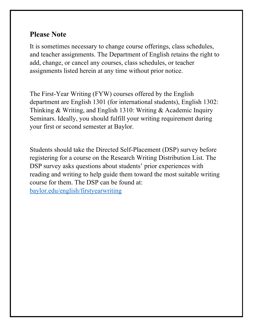## **Please Note**

It is sometimes necessary to change course offerings, class schedules, and teacher assignments. The Department of English retains the right to add, change, or cancel any courses, class schedules, or teacher assignments listed herein at any time without prior notice.

The First-Year Writing (FYW) courses offered by the English department are English 1301 (for international students), English 1302: Thinking & Writing, and English 1310: Writing & Academic Inquiry Seminars. Ideally, you should fulfill your writing requirement during your first or second semester at Baylor.

Students should take the Directed Self-Placement (DSP) survey before registering for a course on the Research Writing Distribution List. The DSP survey asks questions about students' prior experiences with reading and writing to help guide them toward the most suitable writing course for them. The DSP can be found at: [baylor.edu/english/firstyearwriting](http://www.baylor.edu/english/firstyearwriting)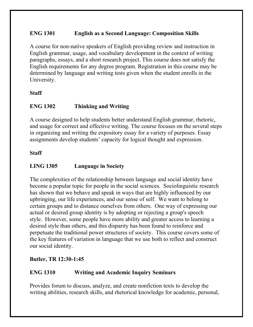## **ENG 1301 English as a Second Language: Composition Skills**

A course for non-native speakers of English providing review and instruction in English grammar, usage, and vocabulary development in the context of writing paragraphs, essays, and a short research project. This course does not satisfy the English requirements for any degree program. Registration in this course may be determined by language and writing tests given when the student enrolls in the University.

#### **Staff**

## **ENG 1302 Thinking and Writing**

A course designed to help students better understand English grammar, rhetoric, and usage for correct and effective writing. The course focuses on the several steps in organizing and writing the expository essay for a variety of purposes. Essay assignments develop students' capacity for logical thought and expression.

## **Staff**

## **LING 1305 Language in Society**

The complexities of the relationship between language and social identity have become a popular topic for people in the social sciences. Sociolinguistic research has shown that we behave and speak in ways that are highly influenced by our upbringing, our life experiences, and our sense of self. We want to belong to certain groups and to distance ourselves from others. One way of expressing our actual or desired group identity is by adopting or rejecting a group's speech style. However, some people have more ability and greater access to learning a desired style than others, and this disparity has been found to reinforce and perpetuate the traditional power structures of society. This course covers some of the key features of variation in language that we use both to reflect and construct our social identity.

## **Butler, TR 12:30-1:45**

## **ENG 1310 Writing and Academic Inquiry Seminars**

Provides forum to discuss, analyze, and create nonfiction texts to develop the writing abilities, research skills, and rhetorical knowledge for academic, personal,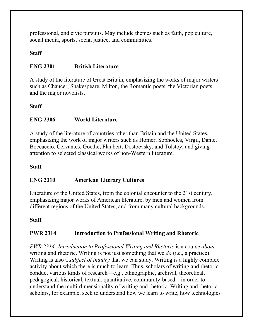professional, and civic pursuits. May include themes such as faith, pop culture, social media, sports, social justice, and communities.

## **Staff**

## **ENG 2301 British Literature**

A study of the literature of Great Britain, emphasizing the works of major writers such as Chaucer, Shakespeare, Milton, the Romantic poets, the Victorian poets, and the major novelists.

#### **Staff**

#### **ENG 2306 World Literature**

A study of the literature of countries other than Britain and the United States, emphasizing the work of major writers such as Homer, Sophocles, Virgil, Dante, Boccaccio, Cervantes, Goethe, Flaubert, Dostoevsky, and Tolstoy, and giving attention to selected classical works of non-Western literature.

#### **Staff**

## **ENG 2310 American Literary Cultures**

Literature of the United States, from the colonial encounter to the 21st century, emphasizing major works of American literature, by men and women from different regions of the United States, and from many cultural backgrounds.

#### **Staff**

## **PWR 2314 Introduction to Professional Writing and Rhetoric**

*PWR 2314: Introduction to Professional Writing and Rhetoric* is a course *about* writing and rhetoric. Writing is not just something that we *do* (i.e., a practice). Writing is also a *subject of inquiry* that we can study. Writing is a highly complex activity about which there is much to learn. Thus, scholars of writing and rhetoric conduct various kinds of research—e.g., ethnographic, archival, theoretical, pedagogical, historical, textual, quantitative, community-based—in order to understand the multi-dimensionality of writing and rhetoric. Writing and rhetoric scholars, for example, seek to understand how we learn to write, how technologies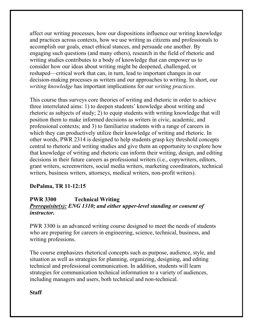affect our writing processes, how our dispositions influence our writing knowledge and practices across contexts, how we use writing as citizens and professionals to accomplish our goals, enact ethical stances, and persuade one another. By engaging such questions (and many others), research in the field of rhetoric and writing studies contributes to a body of knowledge that can empower us to consider how our ideas about writing might be deepened, challenged, or reshaped—critical work that can, in turn, lead to important changes in our decision-making processes as writers and our approaches to writing. In short, our *writing knowledge* has important implications for our *writing practices*.

This course thus surveys core theories of writing and rhetoric in order to achieve three interrelated aims: 1) to deepen students' knowledge about writing and rhetoric as subjects of study; 2) to equip students with writing knowledge that will position them to make informed decisions as writers in civic, academic, and professional contexts; and 3) to familiarize students with a range of careers in which they can productively utilize their knowledge of writing and rhetoric. In other words, PWR 2314 is designed to help students grasp key threshold concepts central to rhetoric and writing studies and give them an opportunity to explore how that knowledge of writing and rhetoric can inform their writing, design, and editing decisions in their future careers as professional writers (i.e., copywriters, editors, grant writers, screenwriters, social media writers, marketing coordinators, technical writers, business writers, attorneys, medical writers, non-profit writers).

## **DePalma, TR 11-12:15**

## **PWR 3300 Technical Writing** *Prerequisite(s): ENG 1310; and either upper-level standing or consent of instructor.*

PWR 3300 is an advanced writing course designed to meet the needs of students who are preparing for careers in engineering, science, technical, business, and writing professions.

The course emphasizes rhetorical concepts such as purpose, audience, style, and situation as well as strategies for planning, organizing, designing, and editing technical and professional communication. In addition, students will learn strategies for communication technical information to a variety of audiences, including managers and users, both technical and non-technical.

**Staff**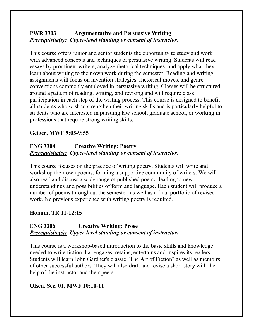## **PWR 3303 Argumentative and Persuasive Writing** *Prerequisite(s): Upper-level standing or consent of instructor.*

This course offers junior and senior students the opportunity to study and work with advanced concepts and techniques of persuasive writing. Students will read essays by prominent writers, analyze rhetorical techniques, and apply what they learn about writing to their own work during the semester. Reading and writing assignments will focus on invention strategies, rhetorical moves, and genre conventions commonly employed in persuasive writing. Classes will be structured around a pattern of reading, writing, and revising and will require class participation in each step of the writing process. This course is designed to benefit all students who wish to strengthen their writing skills and is particularly helpful to students who are interested in pursuing law school, graduate school, or working in professions that require strong writing skills.

## **Geiger, MWF 9:05-9:55**

## **ENG 3304 Creative Writing: Poetry** *Prerequisite(s): Upper-level standing or consent of instructor.*

This course focuses on the practice of writing poetry. Students will write and workshop their own poems, forming a supportive community of writers. We will also read and discuss a wide range of published poetry, leading to new understandings and possibilities of form and language. Each student will produce a number of poems throughout the semester, as well as a final portfolio of revised work. No previous experience with writing poetry is required.

## **Honum, TR 11-12:15**

## **ENG 3306 Creative Writing: Prose** *Prerequisite(s): Upper-level standing or consent of instructor.*

This course is a workshop-based introduction to the basic skills and knowledge needed to write fiction that engages, retains, entertains and inspires its readers. Students will learn John Gardner's classic "The Art of Fiction" as well as memoirs of other successful authors. They will also draft and revise a short story with the help of the instructor and their peers.

## **Olsen, Sec. 01, MWF 10:10-11**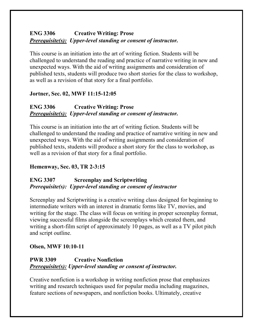## **ENG 3306 Creative Writing: Prose** *Prerequisite(s): Upper-level standing or consent of instructor.*

This course is an initiation into the art of writing fiction. Students will be challenged to understand the reading and practice of narrative writing in new and unexpected ways. With the aid of writing assignments and consideration of published texts, students will produce two short stories for the class to workshop, as well as a revision of that story for a final portfolio.

## **Jortner, Sec. 02, MWF 11:15-12:05**

## **ENG 3306 Creative Writing: Prose** *Prerequisite(s): Upper-level standing or consent of instructor.*

This course is an initiation into the art of writing fiction. Students will be challenged to understand the reading and practice of narrative writing in new and unexpected ways. With the aid of writing assignments and consideration of published texts, students will produce a short story for the class to workshop, as well as a revision of that story for a final portfolio.

## **Hemenway, Sec. 03, TR 2-3:15**

## **ENG 3307 Screenplay and Scriptwriting** *Prerequisite(s): Upper-level standing or consent of instructor*

Screenplay and Scriptwriting is a creative writing class designed for beginning to intermediate writers with an interest in dramatic forms like TV, movies, and writing for the stage. The class will focus on writing in proper screenplay format, viewing successful films alongside the screenplays which created them, and writing a short-film script of approximately 10 pages, as well as a TV pilot pitch and script outline.

## **Olsen, MWF 10:10-11**

## **PWR 3309 Creative Nonfiction** *Prerequisite(s): Upper-level standing or consent of instructor.*

Creative nonfiction is a workshop in writing nonfiction prose that emphasizes writing and research techniques used for popular media including magazines, feature sections of newspapers, and nonfiction books. Ultimately, creative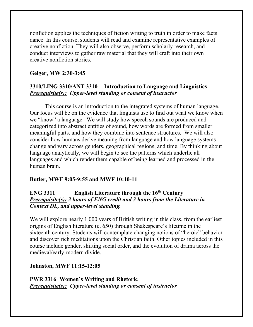nonfiction applies the techniques of fiction writing to truth in order to make facts dance. In this course, students will read and examine representative examples of creative nonfiction. They will also observe, perform scholarly research, and conduct interviews to gather raw material that they will craft into their own creative nonfiction stories.

#### **Geiger, MW 2:30-3:45**

## **3310/LING 3310/ANT 3310 Introduction to Language and Linguistics** *Prerequisite(s): Upper-level standing or consent of instructor*

This course is an introduction to the integrated systems of human language. Our focus will be on the evidence that linguists use to find out what we know when we "know" a language. We will study how speech sounds are produced and categorized into abstract entities of sound, how words are formed from smaller meaningful parts, and how they combine into sentence structures. We will also consider how humans derive meaning from language and how language systems change and vary across genders, geographical regions, and time. By thinking about language analytically, we will begin to see the patterns which underlie all languages and which render them capable of being learned and processed in the human brain.

#### **Butler, MWF 9:05-9:55 and MWF 10:10-11**

## **ENG 3311 English Literature through the 16th Century** *Prerequisite(s): 3 hours of ENG credit and 3 hours from the Literature in Context DL, and upper-level standing.*

We will explore nearly 1,000 years of British writing in this class, from the earliest origins of English literature (c. 650) through Shakespeare's lifetime in the sixteenth century. Students will contemplate changing notions of "heroic" behavior and discover rich meditations upon the Christian faith. Other topics included in this course include gender, shifting social order, and the evolution of drama across the medieval/early-modern divide.

#### **Johnston, MWF 11:15-12:05**

**PWR 3316 Women's Writing and Rhetoric** *Prerequisite(s): Upper-level standing or consent of instructor*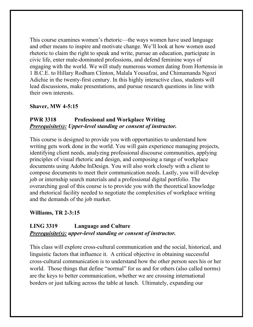This course examines women's rhetoric—the ways women have used language and other means to inspire and motivate change. We'll look at how women used rhetoric to claim the right to speak and write, pursue an education, participate in civic life, enter male-dominated professions, and defend feminine ways of engaging with the world. We will study numerous women dating from Hortensia in 1 B.C.E. to Hillary Rodham Clinton, Malala Yousafzai, and Chimamanda Ngozi Adichie in the twenty-first century. In this highly interactive class, students will lead discussions, make presentations, and pursue research questions in line with their own interests.

#### **Shaver, MW 4-5:15**

## **PWR 3318 Professional and Workplace Writing** *Prerequisite(s): Upper-level standing or consent of instructor.*

This course is designed to provide you with opportunities to understand how writing gets work done in the world. You will gain experience managing projects, identifying client needs, analyzing professional discourse communities, applying principles of visual rhetoric and design, and composing a range of workplace documents using Adobe InDesign. You will also work closely with a client to compose documents to meet their communication needs. Lastly, you will develop job or internship search materials and a professional digital portfolio. The overarching goal of this course is to provide you with the theoretical knowledge and rhetorical facility needed to negotiate the complexities of workplace writing and the demands of the job market.

#### **Williams, TR 2-3:15**

## **LING 3319 Language and Culture** *Prerequisite(s): upper-level standing or consent of instructor.*

This class will explore cross-cultural communication and the social, historical, and linguistic factors that influence it. A critical objective in obtaining successful cross-cultural communication is to understand how the other person sees his or her world. Those things that define "normal" for us and for others (also called norms) are the keys to better communication, whether we are crossing international borders or just talking across the table at lunch. Ultimately, expanding our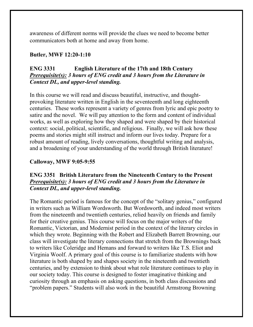awareness of different norms will provide the clues we need to become better communicators both at home and away from home.

#### **Butler, MWF 12:20-1:10**

### **ENG 3331 English Literature of the 17th and 18th Century** *Prerequisite(s): 3 hours of ENG credit and 3 hours from the Literature in Context DL, and upper-level standing.*

In this course we will read and discuss beautiful, instructive, and thoughtprovoking literature written in English in the seventeenth and long eighteenth centuries. These works represent a variety of genres from lyric and epic poetry to satire and the novel. We will pay attention to the form and content of individual works, as well as exploring how they shaped and were shaped by their historical context: social, political, scientific, and religious. Finally, we will ask how these poems and stories might still instruct and inform our lives today. Prepare for a robust amount of reading, lively conversations, thoughtful writing and analysis, and a broadening of your understanding of the world through British literature!

#### **Calloway, MWF 9:05-9:55**

#### **ENG 3351 British Literature from the Nineteenth Century to the Present** *Prerequisite(s): 3 hours of ENG credit and 3 hours from the Literature in Context DL, and upper-level standing.*

The Romantic period is famous for the concept of the "solitary genius," configured in writers such as William Wordsworth. But Wordsworth, and indeed most writers from the nineteenth and twentieth centuries, relied heavily on friends and family for their creative genius. This course will focus on the major writers of the Romantic, Victorian, and Modernist period in the context of the literary circles in which they wrote. Beginning with the Robert and Elizabeth Barrett Browning, our class will investigate the literary connections that stretch from the Brownings back to writers like Coleridge and Hemans and forward to writers like T.S. Eliot and Virginia Woolf. A primary goal of this course is to familiarize students with how literature is both shaped by and shapes society in the nineteenth and twentieth centuries, and by extension to think about what role literature continues to play in our society today. This course is designed to foster imaginative thinking and curiosity through an emphasis on asking questions, in both class discussions and "problem papers." Students will also work in the beautiful Armstrong Browning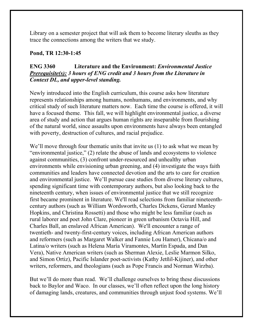Library on a semester project that will ask them to become literary sleuths as they trace the connections among the writers that we study.

#### **Pond, TR 12:30-1:45**

## **ENG 3360 Literature and the Environment:** *Environmental Justice Prerequisite(s): 3 hours of ENG credit and 3 hours from the Literature in Context DL, and upper-level standing.*

Newly introduced into the English curriculum, this course asks how literature represents relationships among humans, nonhumans, and environments, and why critical study of such literature matters now. Each time the course is offered, it will have a focused theme. This fall, we will highlight environmental justice, a diverse area of study and action that argues human rights are inseparable from flourishing of the natural world, since assaults upon environments have always been entangled with poverty, destruction of cultures, and racial prejudice.

We'll move through four thematic units that invite us (1) to ask what we mean by "environmental justice," (2) relate the abuse of lands and ecosystems to violence against communities, (3) confront under-resourced and unhealthy urban environments while envisioning urban greening, and (4) investigate the ways faith communities and leaders have connected devotion and the arts to care for creation and environmental justice. We'll pursue case studies from diverse literary cultures, spending significant time with contemporary authors, but also looking back to the nineteenth century, when issues of environmental justice that we still recognize first became prominent in literature. We'll read selections from familiar nineteenthcentury authors (such as William Wordsworth, Charles Dickens, Gerard Manley Hopkins, and Christina Rossetti) and those who might be less familiar (such as rural laborer and poet John Clare, pioneer in green urbanism Octavia Hill, and Charles Ball, an enslaved African American). We'll encounter a range of twentieth- and twenty-first-century voices, including African American authors and reformers (such as Margaret Walker and Fannie Lou Hamer), Chicana/o and Latina/o writers (such as Helena María Viramontes, Martín Espada, and Dan Vera), Native American writers (such as Sherman Alexie, Leslie Marmon Silko, and Simon Ortiz), Pacific Islander poet-activists (Kathy Jetñil-Kijiner), and other writers, reformers, and theologians (such as Pope Francis and Norman Wirzba).

But we'll do more than read. We'll challenge ourselves to bring these discussions back to Baylor and Waco. In our classes, we'll often reflect upon the long history of damaging lands, creatures, and communities through unjust food systems. We'll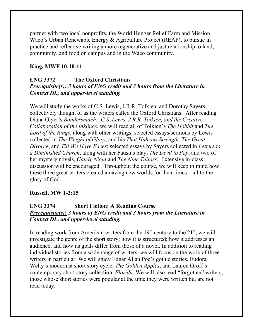partner with two local nonprofits, the World Hunger Relief Farm and Mission Waco's Urban Renewable Energy & Agriculture Project (REAP), to pursue in practice and reflective writing a more regenerative and just relationship to land, community, and food on campus and in the Waco community.

#### **King, MWF 10:10-11**

#### **ENG 3372 The Oxford Christians** *Prerequisite(s): 3 hours of ENG credit and 3 hours from the Literature in Context DL, and upper-level standing.*

We will study the works of C.S. Lewis, J.R.R. Tolkien, and Dorothy Sayers, collectively thought of as the writers called the Oxford Christians. After reading Diana Glyer's *Bandersnatch: C.S. Lewis, J.R.R. Tolkien, and the Creative Collaboration of the Inklings*, we will read all of Tolkien's *The Hobbit* and *The Lord of the Rings*, along with other writings; selected essays/sermons by Lewis collected in *The Weight of Glory*, and his *That Hideous Strength, The Great Divorce*, and *Till We Have Faces*; selected essays by Sayers collected in *Letters to a Diminished Church*, along with her Faustus play, *The Devil to Pay*, and two of her mystery novels, *Gaudy Night* and *The Nine Tailors*. Extensive in-class discussion will be encouraged. Throughout the course, we will keep in mind how these three great writers created amazing new worlds for their times—all to the glory of God.

#### **Russell, MW 1-2:15**

#### **ENG 3374 Short Fiction: A Reading Course** *Prerequisite(s): 3 hours of ENG credit and 3 hours from the Literature in Context DL, and upper-level standing.*

In reading work from American writers from the  $19<sup>th</sup>$  century to the  $21<sup>st</sup>$ , we will investigate the genre of the short story: how it is structured; how it addresses an audience; and how its goals differ from those of a novel. In addition to reading individual stories from a wide range of writers, we will focus on the work of three writers in particular. We will study Edgar Allan Poe's gothic stories, Eudora Welty's modernist short story cycle, *The Golden Apples*, and Lauren Groff's contemporary short story collection, *Florida*. We will also read "forgotten" writers, those whose short stories were popular at the time they were written but are not read today.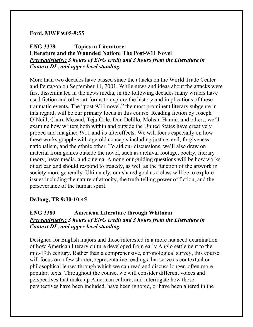#### **Ford, MWF 9:05-9:55**

## **ENG 3378 Topics in Literature: Literature and the Wounded Nation: The Post-9/11 Novel** *Prerequisite(s): 3 hours of ENG credit and 3 hours from the Literature in Context DL, and upper-level standing.*

More than two decades have passed since the attacks on the World Trade Center and Pentagon on September 11, 2001. While news and ideas about the attacks were first disseminated in the news media, in the following decades many writers have used fiction and other art forms to explore the history and implications of these traumatic events. The "post-9/11 novel," the most prominent literary subgenre in this regard, will be our primary focus in this course. Reading fiction by Joseph O'Neill, Claire Messud, Teju Cole, Don Delillo, Mohsin Hamid, and others, we'll examine how writers both within and outside the United States have creatively probed and imagined 9/11 and its aftereffects. We will focus especially on how these works grapple with age-old concepts including justice, evil, forgiveness, nationalism, and the ethnic other. To aid our discussions, we'll also draw on material from genres outside the novel, such as archival footage, poetry, literary theory, news media, and cinema. Among our guiding questions will be how works of art can and should respond to tragedy, as well as the function of the artwork in society more generally. Ultimately, our shared goal as a class will be to explore issues including the nature of atrocity, the truth-telling power of fiction, and the perseverance of the human spirit.

#### **DeJong, TR 9:30-10:45**

## **ENG 3380 American Literature through Whitman** *Prerequisite(s): 3 hours of ENG credit and 3 hours from the Literature in Context DL, and upper-level standing.*

Designed for English majors and those interested in a more nuanced examination of how American literary culture developed from early Anglo settlement to the mid-19th century. Rather than a comprehensive, chronological survey, this course will focus on a few shorter, representative readings that serve as contextual or philosophical lenses through which we can read and discuss longer, often more popular, texts. Throughout the course, we will consider different voices and perspectives that make up American culture, and interrogate how those perspectives have been included, have been ignored, or have been altered in the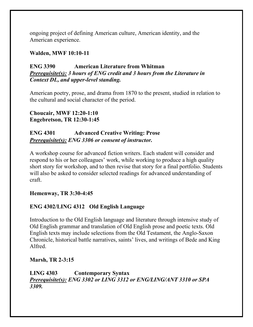ongoing project of defining American culture, American identity, and the American experience.

#### **Walden, MWF 10:10-11**

## **ENG 3390 American Literature from Whitman** *Prerequisite(s): 3 hours of ENG credit and 3 hours from the Literature in Context DL, and upper-level standing.*

American poetry, prose, and drama from 1870 to the present, studied in relation to the cultural and social character of the period.

**Choucair, MWF 12:20-1:10 Engebretson, TR 12:30-1:45**

## **ENG 4301 Advanced Creative Writing: Prose** *Prerequisite(s): ENG 3306 or consent of instructor.*

A workshop course for advanced fiction writers. Each student will consider and respond to his or her colleagues' work, while working to produce a high quality short story for workshop, and to then revise that story for a final portfolio. Students will also be asked to consider selected readings for advanced understanding of craft.

## **Hemenway, TR 3:30-4:45**

## **ENG 4302/LING 4312 Old English Language**

Introduction to the Old English language and literature through intensive study of Old English grammar and translation of Old English prose and poetic texts. Old English texts may include selections from the Old Testament, the Anglo-Saxon Chronicle, historical battle narratives, saints' lives, and writings of Bede and King Alfred.

#### **Marsh, TR 2-3:15**

**LING 4303 Contemporary Syntax** *Prerequisite(s): ENG 3302 or LING 3312 or ENG/LING/ANT 3310 or SPA 3309.*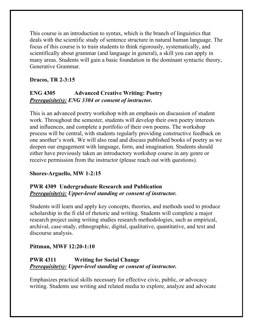This course is an introduction to syntax, which is the branch of linguistics that deals with the scientific study of sentence structure in natural human language. The focus of this course is to train students to think rigorously, systematically, and scientifically about grammar (and language in general), a skill you can apply in many areas. Students will gain a basic foundation in the dominant syntactic theory, Generative Grammar.

## **Dracos, TR 2-3:15**

## **ENG 4305 Advanced Creative Writing: Poetry** *Prerequisite(s): ENG 3304 or consent of instructor.*

This is an advanced poetry workshop with an emphasis on discussion of student work. Throughout the semester, students will develop their own poetry interests and influences, and complete a portfolio of their own poems. The workshop process will be central, with students regularly providing constructive feedback on one another's work. We will also read and discuss published books of poetry as we deepen our engagement with language, form, and imagination. Students should either have previously taken an introductory workshop course in any genre or receive permission from the instructor (please reach out with questions).

## **Shores-Arguello, MW 1-2:15**

## **PWR 4309 Undergraduate Research and Publication**  *Prerequisite(s): Upper-level standing or consent of instructor.*

Students will learn and apply key concepts, theories, and methods used to produce scholarship in the fi eld of rhetoric and writing. Students will complete a major research project using writing studies research methodologies, such as empirical, archival, case-study, ethnographic, digital, qualitative, quantitative, and text and discourse analysis.

## **Pittman, MWF 12:20-1:10**

## **PWR 4311 Writing for Social Change** *Prerequisite(s): Upper-level standing or consent of instructor.*

Emphasizes practical skills necessary for effective civic, public, or advocacy writing. Students use writing and related media to explore, analyze and advocate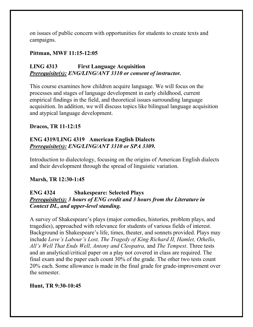on issues of public concern with opportunities for students to create texts and campaigns.

#### **Pittman, MWF 11:15-12:05**

## **LING 4313 First Language Acquisition** *Prerequisite(s): ENG/LING/ANT 3310 or consent of instructor.*

This course examines how children acquire language. We will focus on the processes and stages of language development in early childhood, current empirical findings in the field, and theoretical issues surrounding language acquisition. In addition, we will discuss topics like bilingual language acquisition and atypical language development.

#### **Dracos, TR 11-12:15**

## **ENG 4319/LING 4319 American English Dialects** *Prerequisite(s): ENG/LING/ANT 3310 or SPA 3309.*

Introduction to dialectology, focusing on the origins of American English dialects and their development through the spread of linguistic variation.

#### **Marsh, TR 12:30-1:45**

## **ENG 4324 Shakespeare: Selected Plays** *Prerequisite(s): 3 hours of ENG credit and 3 hours from the Literature in Context DL, and upper-level standing.*

A survey of Shakespeare's plays (major comedies, histories, problem plays, and tragedies), approached with relevance for students of various fields of interest. Background in Shakespeare's life, times, theater, and sonnets provided. Plays may include *Love's Labour's Lost, The Tragedy of King Richard II, Hamlet, Othello, All's Well That Ends Well, Antony and Cleopatra,* and *The Tempest*. Three tests and an analytical/critical paper on a play not covered in class are required. The final exam and the paper each count 30% of the grade. The other two tests count 20% each. Some allowance is made in the final grade for grade-improvement over the semester.

## **Hunt, TR 9:30-10:45**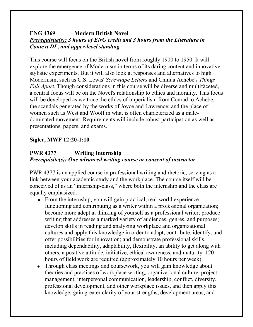## **ENG 4369 Modern British Novel** *Prerequisite(s): 3 hours of ENG credit and 3 hours from the Literature in Context DL, and upper-level standing.*

This course will focus on the British novel from roughly 1900 to 1950. It will explore the emergence of Modernism in terms of its daring content and innovative stylistic experiments. But it will also look at responses and alternatives to high Modernism, such as C.S. Lewis' *Screwtape Letters* and Chinua Achebe's *Things Fall Apart.* Though considerations in this course will be diverse and multifaceted, a central focus will be on the Novel's relationship to ethics and morality. This focus will be developed as we trace the ethics of imperialism from Conrad to Achebe; the scandals generated by the works of Joyce and Lawrence; and the place of women such as West and Woolf in what is often characterized as a maledominated movement. Requirements will include robust participation as well as presentations, papers, and exams.

## **Sigler, MWF 12:20-1:10**

## **PWR 4377 Writing Internship** *Prerequisite(s): One advanced writing course or consent of instructor*

PWR 4377 is an applied course in professional writing and rhetoric, serving as a link between your academic study and the workplace. The course itself will be conceived of as an "internship-class," where both the internship and the class are equally emphasized.

- From the internship, you will gain practical, real-world experience functioning and contributing as a writer within a professional organization; become more adept at thinking of yourself as a professional writer; produce writing that addresses a marked variety of audiences, genres, and purposes; develop skills in reading and analyzing workplace and organizational cultures and apply this knowledge in order to adapt, contribute, identify, and offer possibilities for innovation; and demonstrate professional skills, including dependability, adaptability, flexibility, an ability to get along with others, a positive attitude, initiative, ethical awareness, and maturity. 120 hours of field work are required (approximately 10 hours per week).
- Through class meetings and coursework, you will gain knowledge about theories and practices of workplace writing, organizational culture, project management, interpersonal communication, leadership, conflict, diversity, professional development, and other workplace issues, and then apply this knowledge; gain greater clarity of your strengths, development areas, and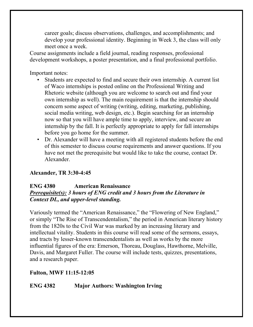career goals; discuss observations, challenges, and accomplishments; and develop your professional identity. Beginning in Week 3, the class will only meet once a week.

Course assignments include a field journal, reading responses, professional development workshops, a poster presentation, and a final professional portfolio.

Important notes:

- Students are expected to find and secure their own internship. A current list of Waco internships is posted online on the Professional Writing and Rhetoric website (although you are welcome to search out and find your own internship as well). The main requirement is that the internship should concern some aspect of writing (writing, editing, marketing, publishing, social media writing, web design, etc.). Begin searching for an internship now so that you will have ample time to apply, interview, and secure an internship by the fall. It is perfectly appropriate to apply for fall internships before you go home for the summer.
- Dr. Alexander will have a meeting with all registered students before the end of this semester to discuss course requirements and answer questions. If you have not met the prerequisite but would like to take the course, contact Dr. Alexander.

## **Alexander, TR 3:30-4:45**

#### **ENG 4380 American Renaissance** *Prerequisite(s): 3 hours of ENG credit and 3 hours from the Literature in Context DL, and upper-level standing.*

Variously termed the "American Renaissance," the "Flowering of New England," or simply "The Rise of Transcendentalism," the period in American literary history from the 1820s to the Civil War was marked by an increasing literary and intellectual vitality. Students in this course will read some of the sermons, essays, and tracts by lesser-known transcendentalists as well as works by the more influential figures of the era: Emerson, Thoreau, Douglass, Hawthorne, Melville, Davis, and Margaret Fuller. The course will include tests, quizzes, presentations, and a research paper.

## **Fulton, MWF 11:15-12:05**

## **ENG 4382 Major Authors: Washington Irving**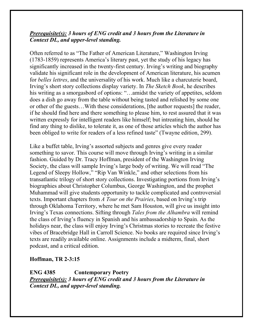## *Prerequisite(s): 3 hours of ENG credit and 3 hours from the Literature in Context DL, and upper-level standing.*

Often referred to as "The Father of American Literature," Washington Irving (1783-1859) represents America's literary past, yet the study of his legacy has significantly increased in the twenty-first century. Irving's writing and biography validate his significant role in the development of American literature, his acumen for *belles lettres*, and the universality of his work. Much like a charcuterie board, Irving's short story collections display variety. In *The Sketch Book*, he describes his writing as a smorgasbord of options: "…amidst the variety of appetites, seldom does a dish go away from the table without being tasted and relished by some one or other of the guests…With these considerations, [the author requests] the reader, if he should find here and there something to please him, to rest assured that it was written expressly for intelligent readers like himself; but intreating him, should he find any thing to dislike, to tolerate it, as one of those articles which the author has been obliged to write for readers of a less refined taste" (Twayne edition, 299).

Like a buffet table, Irving's assorted subjects and genres give every reader something to savor. This course will move through Irving's writing in a similar fashion. Guided by Dr. Tracy Hoffman, president of the Washington Irving Society, the class will sample Irving's large body of writing. We will read "The Legend of Sleepy Hollow," "Rip Van Winkle," and other selections from his transatlantic trilogy of short story collections. Investigating portions from Irving's biographies about Christopher Columbus, George Washington, and the prophet Muhammad will give students opportunity to tackle complicated and controversial texts. Important chapters from *A Tour on the Prairies*, based on Irving's trip through Oklahoma Territory, where he met Sam Houston, will give us insight into Irving's Texas connections. Sifting through *Tales from the Alhambra* will remind the class of Irving's fluency in Spanish and his ambassadorship to Spain. As the holidays near, the class will enjoy Irving's Christmas stories to recreate the festive vibes of Bracebridge Hall in Carroll Science. No books are required since Irving's texts are readily available online. Assignments include a midterm, final, short podcast, and a critical edition.

#### **Hoffman, TR 2-3:15**

**ENG 4385 Contemporary Poetry** *Prerequisite(s): 3 hours of ENG credit and 3 hours from the Literature in Context DL, and upper-level standing.*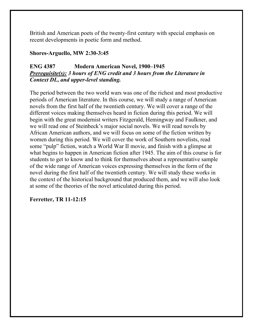British and American poets of the twenty-first century with special emphasis on recent developments in poetic form and method.

#### **Shores-Arguello, MW 2:30-3:45**

## **ENG 4387 Modern American Novel, 1900–1945**  *Prerequisite(s): 3 hours of ENG credit and 3 hours from the Literature in Context DL, and upper-level standing.*

The period between the two world wars was one of the richest and most productive periods of American literature. In this course, we will study a range of American novels from the first half of the twentieth century. We will cover a range of the different voices making themselves heard in fiction during this period. We will begin with the great modernist writers Fitzgerald, Hemingway and Faulkner, and we will read one of Steinbeck's major social novels. We will read novels by African American authors, and we will focus on some of the fiction written by women during this period. We will cover the work of Southern novelists, read some "pulp" fiction, watch a World War II movie, and finish with a glimpse at what begins to happen in American fiction after 1945. The aim of this course is for students to get to know and to think for themselves about a representative sample of the wide range of American voices expressing themselves in the form of the novel during the first half of the twentieth century. We will study these works in the context of the historical background that produced them, and we will also look at some of the theories of the novel articulated during this period.

## **Ferretter, TR 11-12:15**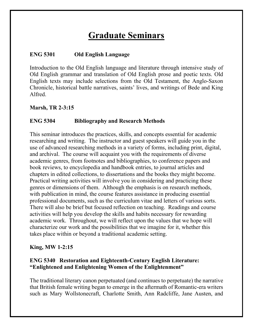## **Graduate Seminars**

## **ENG 5301 Old English Language**

Introduction to the Old English language and literature through intensive study of Old English grammar and translation of Old English prose and poetic texts. Old English texts may include selections from the Old Testament, the Anglo-Saxon Chronicle, historical battle narratives, saints' lives, and writings of Bede and King Alfred.

#### **Marsh, TR 2-3:15**

#### **ENG 5304 Bibliography and Research Methods**

This seminar introduces the practices, skills, and concepts essential for academic researching and writing. The instructor and guest speakers will guide you in the use of advanced researching methods in a variety of forms, including print, digital, and archival. The course will acquaint you with the requirements of diverse academic genres, from footnotes and bibliographies, to conference papers and book reviews, to encyclopedia and handbook entries, to journal articles and chapters in edited collections, to dissertations and the books they might become. Practical writing activities will involve you in considering and practicing these genres or dimensions of them. Although the emphasis is on research methods, with publication in mind, the course features assistance in producing essential professional documents, such as the curriculum vitae and letters of various sorts. There will also be brief but focused reflection on teaching. Readings and course activities will help you develop the skills and habits necessary for rewarding academic work. Throughout, we will reflect upon the values that we hope will characterize our work and the possibilities that we imagine for it, whether this takes place within or beyond a traditional academic setting.

#### **King, MW 1-2:15**

## **ENG 5340 Restoration and Eighteenth-Century English Literature: "Enlightened and Enlightening Women of the Enlightenment"**

The traditional literary canon perpetuated (and continues to perpetuate) the narrative that British female writing began to emerge in the aftermath of Romantic-era writers such as Mary Wollstonecraft, Charlotte Smith, Ann Radcliffe, Jane Austen, and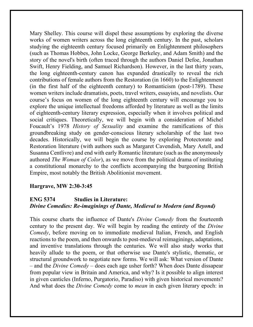Mary Shelley. This course will dispel these assumptions by exploring the diverse works of women writers across the long eighteenth century. In the past, scholars studying the eighteenth century focused primarily on Enlightenment philosophers (such as Thomas Hobbes, John Locke, George Berkeley, and Adam Smith) and the story of the novel's birth (often traced through the authors Daniel Defoe, Jonathan Swift, Henry Fielding, and Samuel Richardson). However, in the last thirty years, the long eighteenth-century canon has expanded drastically to reveal the rich contributions of female authors from the Restoration (in 1660) to the Enlightenment (in the first half of the eighteenth century) to Romanticism (post-1789). These women writers include dramatists, poets, travel writers, essayists, and novelists. Our course's focus on women of the long eighteenth century will encourage you to explore the unique intellectual freedoms afforded by literature as well as the limits of eighteenth-century literary expression, especially when it involves political and social critiques. Theoretically, we will begin with a consideration of Michel Foucault's 1978 *History of Sexuality* and examine the ramifications of this groundbreaking study on gender-conscious literary scholarship of the last two decades. Historically, we will begin the course by exploring Protectorate and Restoration literature (with authors such as Margaret Cavendish, Mary Astell, and Susanna Centlivre) and end with early Romantic literature (such as the anonymously authored *The Woman of Color*), as we move from the political drama of instituting a constitutional monarchy to the conflicts accompanying the burgeoning British Empire, most notably the British Abolitionist movement.

#### **Hargrave, MW 2:30-3:45**

#### **ENG 5374 Studies in Literature:** *Divine Comedies: Re-imaginings of Dante, Medieval to Modern (and Beyond)*

This course charts the influence of Dante's *Divine Comedy* from the fourteenth century to the present day. We will begin by reading the entirety of the *Divine Comedy*, before moving on to immediate medieval Italian, French, and English reactions to the poem, and then onwards to post-medieval reimaginings, adaptations, and inventive translations through the centuries. We will also study works that heavily allude to the poem, or that otherwise use Dante's stylistic, thematic, or structural groundwork to negotiate new forms. We will ask: What version of Dante – and the *Divine Comedy* – does each age usher forth? When does Dante dissapear from popular view in Britain and America, and why? Is it possible to align interest in given canticles (Inferno, Purgatorio, Paradiso) with given historical movements? And what does the *Divine Comedy* come to *mean* in each given literary epoch: in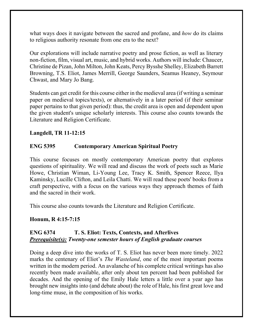what ways does it navigate between the sacred and profane, and *how* do its claims to religious authority resonate from one era to the next?

Our explorations will include narrative poetry and prose fiction, as well as literary non-fiction, film, visual art, music, and hybrid works. Authors will include: Chaucer, Christine de Pizan, John Milton, John Keats, Percy Bysshe Shelley, Elizabeth Barrett Browning, T.S. Eliot, James Merrill, George Saunders, Seamus Heaney, Seymour Chwast, and Mary Jo Bang.

Students can get credit for this course either in the medieval area (if writing a seminar paper on medieval topics/texts), or alternatively in a later period (if their seminar paper pertains to that given period): thus, the credit area is open and dependent upon the given student's unique scholarly interests. This course also counts towards the Literature and Religion Certificate.

#### **Langdell, TR 11-12:15**

## **ENG 5395 Contemporary American Spiritual Poetry**

This course focuses on mostly contemporary American poetry that explores questions of spirituality. We will read and discuss the work of poets such as Marie Howe, Christian Wiman, Li-Young Lee, Tracy K. Smith, Spencer Reece, Ilya Kaminsky, Lucille Clifton, and Leila Chatti. We will read these poets' books from a craft perspective, with a focus on the various ways they approach themes of faith and the sacred in their work.

This course also counts towards the Literature and Religion Certificate.

#### **Honum, R 4:15-7:15**

## **ENG 6374 T. S. Eliot: Texts, Contexts, and Afterlives** *Prerequisite(s): Twenty-one semester hours of English graduate courses*

Doing a deep dive into the works of T. S. Eliot has never been more timely. 2022 marks the centenary of Eliot's *The Wasteland*, one of the most important poems written in the modern period. An avalanche of his complete critical writings has also recently been made available, after only about ten percent had been published for decades. And the opening of the Emily Hale letters a little over a year ago has brought new insights into (and debate about) the role of Hale, his first great love and long-time muse, in the composition of his works.